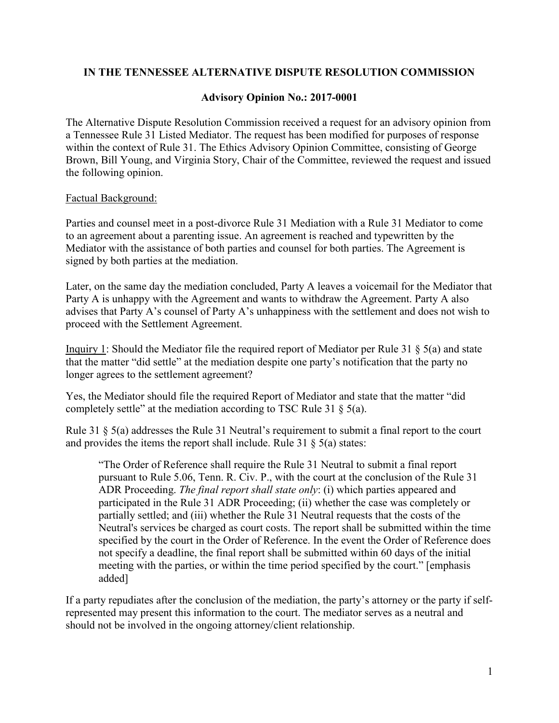## **IN THE TENNESSEE ALTERNATIVE DISPUTE RESOLUTION COMMISSION**

## **Advisory Opinion No.: 2017-0001**

The Alternative Dispute Resolution Commission received a request for an advisory opinion from a Tennessee Rule 31 Listed Mediator. The request has been modified for purposes of response within the context of Rule 31. The Ethics Advisory Opinion Committee, consisting of George Brown, Bill Young, and Virginia Story, Chair of the Committee, reviewed the request and issued the following opinion.

## Factual Background:

Parties and counsel meet in a post-divorce Rule 31 Mediation with a Rule 31 Mediator to come to an agreement about a parenting issue. An agreement is reached and typewritten by the Mediator with the assistance of both parties and counsel for both parties. The Agreement is signed by both parties at the mediation.

Later, on the same day the mediation concluded, Party A leaves a voicemail for the Mediator that Party A is unhappy with the Agreement and wants to withdraw the Agreement. Party A also advises that Party A's counsel of Party A's unhappiness with the settlement and does not wish to proceed with the Settlement Agreement.

Inquiry 1: Should the Mediator file the required report of Mediator per Rule 31 § 5(a) and state that the matter "did settle" at the mediation despite one party's notification that the party no longer agrees to the settlement agreement?

Yes, the Mediator should file the required Report of Mediator and state that the matter "did completely settle" at the mediation according to TSC Rule 31 § 5(a).

Rule 31 § 5(a) addresses the Rule 31 Neutral's requirement to submit a final report to the court and provides the items the report shall include. Rule  $31 \& 5(a)$  states:

"The Order of Reference shall require the Rule 31 Neutral to submit a final report pursuant to Rule 5.06, Tenn. R. Civ. P., with the court at the conclusion of the Rule 31 ADR Proceeding. *The final report shall state only*: (i) which parties appeared and participated in the Rule 31 ADR Proceeding; (ii) whether the case was completely or partially settled; and (iii) whether the Rule 31 Neutral requests that the costs of the Neutral's services be charged as court costs. The report shall be submitted within the time specified by the court in the Order of Reference. In the event the Order of Reference does not specify a deadline, the final report shall be submitted within 60 days of the initial meeting with the parties, or within the time period specified by the court." [emphasis added]

If a party repudiates after the conclusion of the mediation, the party's attorney or the party if selfrepresented may present this information to the court. The mediator serves as a neutral and should not be involved in the ongoing attorney/client relationship.